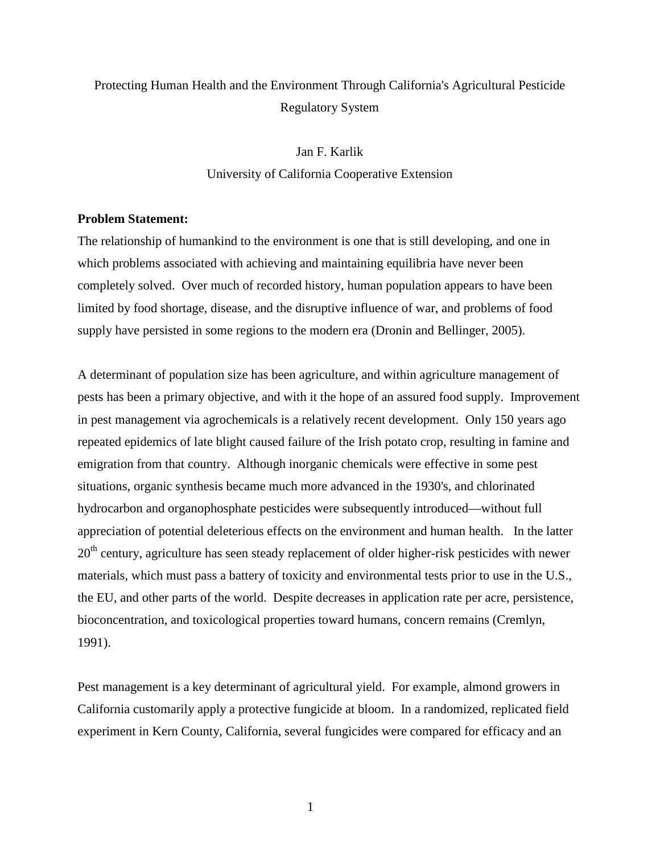# Protecting Human Health and the Environment Through California's Agricultural Pesticide Regulatory System

Jan F. Karlik University of California Cooperative Extension

### **Problem Statement:**

The relationship of humankind to the environment is one that is still developing, and one in which problems associated with achieving and maintaining equilibria have never been completely solved. Over much of recorded history, human population appears to have been limited by food shortage, disease, and the disruptive influence of war, and problems of food supply have persisted in some regions to the modern era (Dronin and Bellinger, 2005).

A determinant of population size has been agriculture, and within agriculture management of pests has been a primary objective, and with it the hope of an assured food supply. Improvement in pest management via agrochemicals is a relatively recent development. Only 150 years ago repeated epidemics of late blight caused failure of the Irish potato crop, resulting in famine and emigration from that country. Although inorganic chemicals were effective in some pest situations, organic synthesis became much more advanced in the 1930's, and chlorinated hydrocarbon and organophosphate pesticides were subsequently introduced—without full appreciation of potential deleterious effects on the environment and human health. In the latter  $20<sup>th</sup>$  century, agriculture has seen steady replacement of older higher-risk pesticides with newer materials, which must pass a battery of toxicity and environmental tests prior to use in the U.S., the EU, and other parts of the world. Despite decreases in application rate per acre, persistence, bioconcentration, and toxicological properties toward humans, concern remains (Cremlyn, 1991).

Pest management is a key determinant of agricultural yield. For example, almond growers in California customarily apply a protective fungicide at bloom. In a randomized, replicated field experiment in Kern County, California, several fungicides were compared for efficacy and an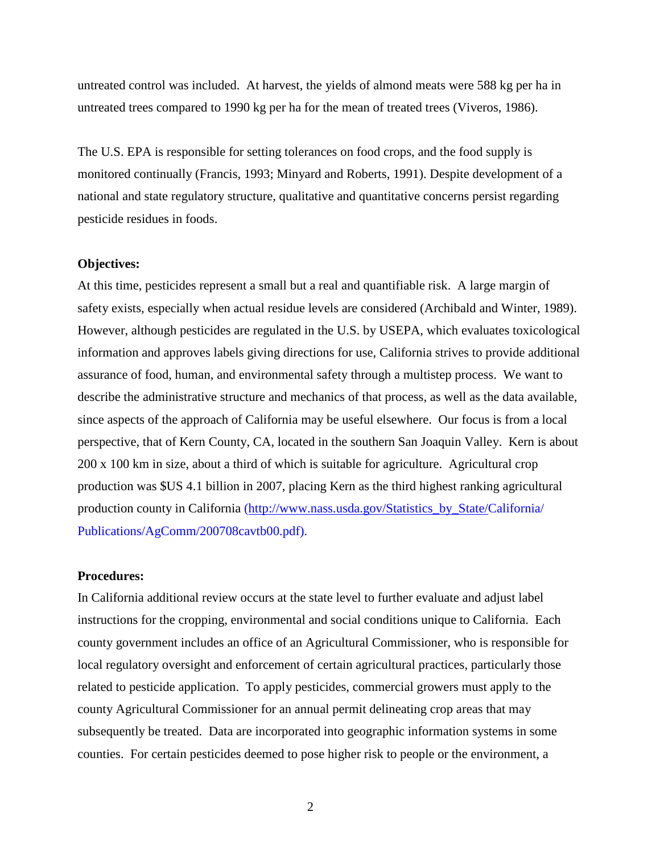untreated control was included. At harvest, the yields of almond meats were 588 kg per ha in untreated trees compared to 1990 kg per ha for the mean of treated trees (Viveros, 1986).

The U.S. EPA is responsible for setting tolerances on food crops, and the food supply is monitored continually (Francis, 1993; Minyard and Roberts, 1991). Despite development of a national and state regulatory structure, qualitative and quantitative concerns persist regarding pesticide residues in foods.

### **Objectives:**

At this time, pesticides represent a small but a real and quantifiable risk. A large margin of safety exists, especially when actual residue levels are considered (Archibald and Winter, 1989). However, although pesticides are regulated in the U.S. by USEPA, which evaluates toxicological information and approves labels giving directions for use, California strives to provide additional assurance of food, human, and environmental safety through a multistep process. We want to describe the administrative structure and mechanics of that process, as well as the data available, since aspects of the approach of California may be useful elsewhere. Our focus is from a local perspective, that of Kern County, CA, located in the southern San Joaquin Valley. Kern is about 200 x 100 km in size, about a third of which is suitable for agriculture. Agricultural crop production was \$US 4.1 billion in 2007, placing Kern as the third highest ranking agricultural production county in California (http://www.nass.usda.gov/Statistics\_by\_State/California/ Publications/AgComm/200708cavtb00.pdf).

## **Procedures:**

In California additional review occurs at the state level to further evaluate and adjust label instructions for the cropping, environmental and social conditions unique to California. Each county government includes an office of an Agricultural Commissioner, who is responsible for local regulatory oversight and enforcement of certain agricultural practices, particularly those related to pesticide application. To apply pesticides, commercial growers must apply to the county Agricultural Commissioner for an annual permit delineating crop areas that may subsequently be treated. Data are incorporated into geographic information systems in some counties. For certain pesticides deemed to pose higher risk to people or the environment, a

2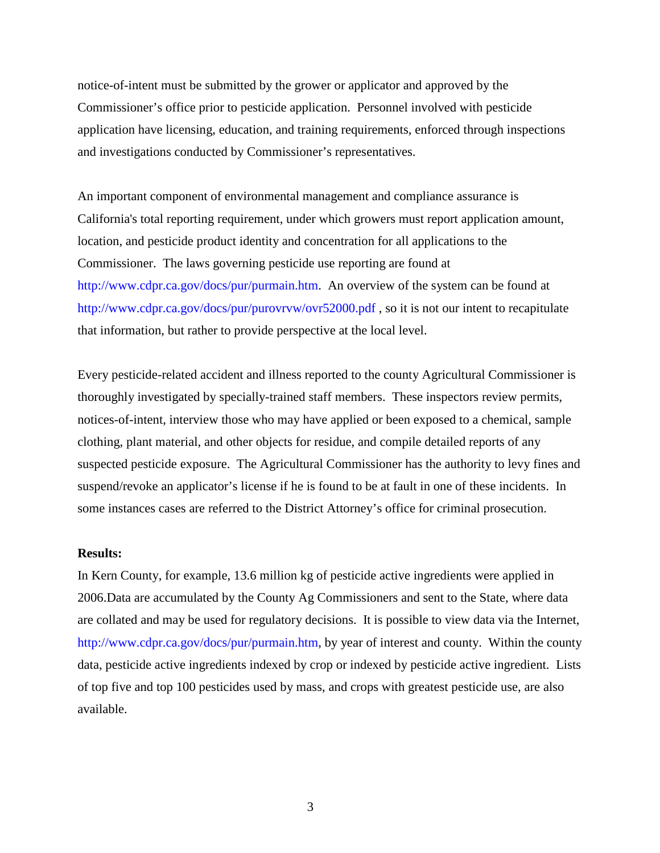notice-of-intent must be submitted by the grower or applicator and approved by the Commissioner's office prior to pesticide application. Personnel involved with pesticide application have licensing, education, and training requirements, enforced through inspections and investigations conducted by Commissioner's representatives.

An important component of environmental management and compliance assurance is California's total reporting requirement, under which growers must report application amount, location, and pesticide product identity and concentration for all applications to the Commissioner. The laws governing pesticide use reporting are found at http://www.cdpr.ca.gov/docs/pur/purmain.htm. An overview of the system can be found at http://www.cdpr.ca.gov/docs/pur/purovrvw/ovr52000.pdf, so it is not our intent to recapitulate that information, but rather to provide perspective at the local level.

Every pesticide-related accident and illness reported to the county Agricultural Commissioner is thoroughly investigated by specially-trained staff members. These inspectors review permits, notices-of-intent, interview those who may have applied or been exposed to a chemical, sample clothing, plant material, and other objects for residue, and compile detailed reports of any suspected pesticide exposure. The Agricultural Commissioner has the authority to levy fines and suspend/revoke an applicator's license if he is found to be at fault in one of these incidents. In some instances cases are referred to the District Attorney's office for criminal prosecution.

## **Results:**

In Kern County, for example, 13.6 million kg of pesticide active ingredients were applied in 2006.Data are accumulated by the County Ag Commissioners and sent to the State, where data are collated and may be used for regulatory decisions. It is possible to view data via the Internet, http://www.cdpr.ca.gov/docs/pur/purmain.htm, by year of interest and county. Within the county data, pesticide active ingredients indexed by crop or indexed by pesticide active ingredient. Lists of top five and top 100 pesticides used by mass, and crops with greatest pesticide use, are also available.

3